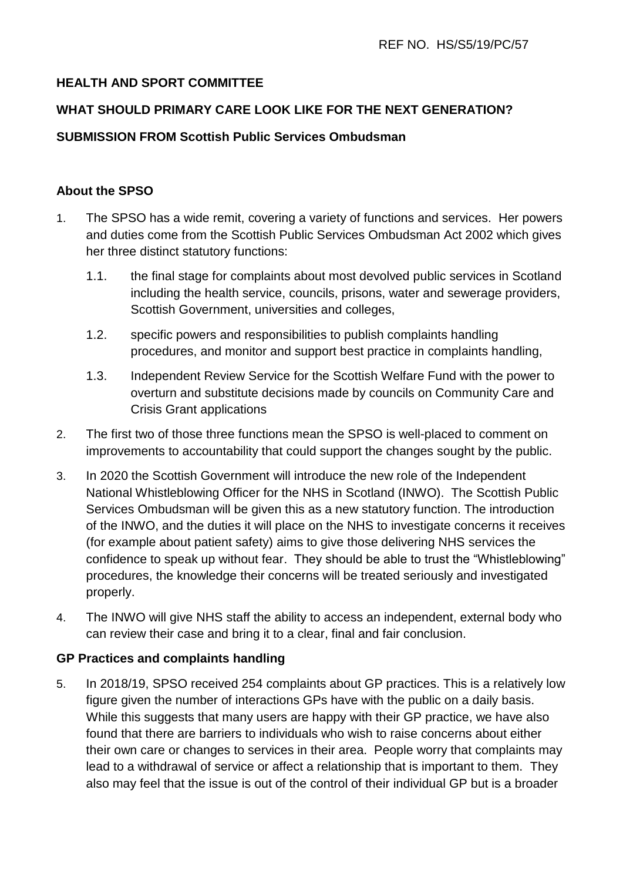# **HEALTH AND SPORT COMMITTEE**

# **WHAT SHOULD PRIMARY CARE LOOK LIKE FOR THE NEXT GENERATION?**

# **SUBMISSION FROM Scottish Public Services Ombudsman**

#### **About the SPSO**

- 1. The SPSO has a wide remit, covering a variety of functions and services. Her powers and duties come from the Scottish Public Services Ombudsman Act 2002 which gives her three distinct statutory functions:
	- 1.1. the final stage for complaints about most devolved public services in Scotland including the health service, councils, prisons, water and sewerage providers, Scottish Government, universities and colleges,
	- 1.2. specific powers and responsibilities to publish complaints handling procedures, and monitor and support best practice in complaints handling,
	- 1.3. Independent Review Service for the Scottish Welfare Fund with the power to overturn and substitute decisions made by councils on Community Care and Crisis Grant applications
- 2. The first two of those three functions mean the SPSO is well-placed to comment on improvements to accountability that could support the changes sought by the public.
- 3. In 2020 the Scottish Government will introduce the new role of the Independent National Whistleblowing Officer for the NHS in Scotland (INWO). The Scottish Public Services Ombudsman will be given this as a new statutory function. The introduction of the INWO, and the duties it will place on the NHS to investigate concerns it receives (for example about patient safety) aims to give those delivering NHS services the confidence to speak up without fear. They should be able to trust the "Whistleblowing" procedures, the knowledge their concerns will be treated seriously and investigated properly.
- 4. The INWO will give NHS staff the ability to access an independent, external body who can review their case and bring it to a clear, final and fair conclusion.

#### **GP Practices and complaints handling**

5. In 2018/19, SPSO received 254 complaints about GP practices. This is a relatively low figure given the number of interactions GPs have with the public on a daily basis. While this suggests that many users are happy with their GP practice, we have also found that there are barriers to individuals who wish to raise concerns about either their own care or changes to services in their area. People worry that complaints may lead to a withdrawal of service or affect a relationship that is important to them. They also may feel that the issue is out of the control of their individual GP but is a broader